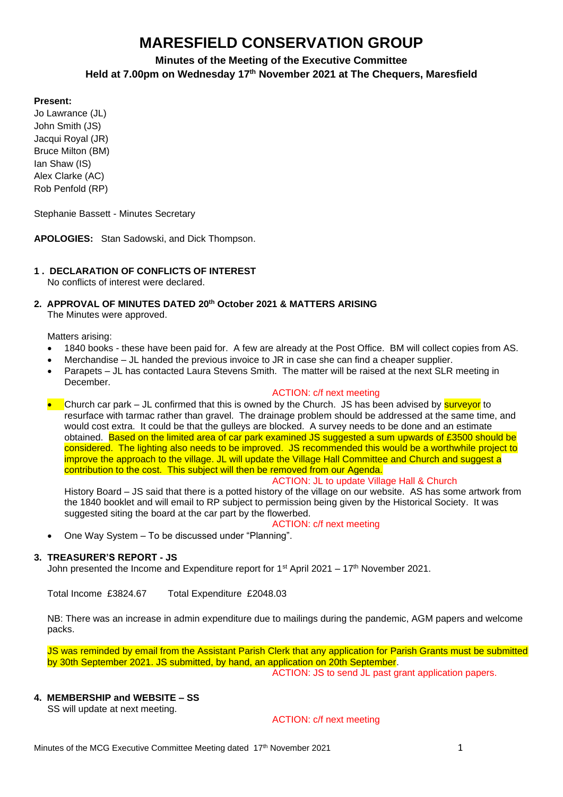# **MARESFIELD CONSERVATION GROUP**

# **Minutes of the Meeting of the Executive Committee Held at 7.00pm on Wednesday 17th November 2021 at The Chequers, Maresfield**

# **Present:**

Jo Lawrance (JL) John Smith (JS) Jacqui Royal (JR) Bruce Milton (BM) Ian Shaw (IS) Alex Clarke (AC) Rob Penfold (RP)

Stephanie Bassett - Minutes Secretary

**APOLOGIES:** Stan Sadowski, and Dick Thompson.

# **1 . DECLARATION OF CONFLICTS OF INTEREST**

No conflicts of interest were declared.

**2. APPROVAL OF MINUTES DATED 20th October 2021 & MATTERS ARISING** The Minutes were approved.

Matters arising:

- 1840 books these have been paid for. A few are already at the Post Office. BM will collect copies from AS.
- Merchandise JL handed the previous invoice to JR in case she can find a cheaper supplier.
- Parapets JL has contacted Laura Stevens Smith. The matter will be raised at the next SLR meeting in December.

# ACTION: c/f next meeting

• Church car park – JL confirmed that this is owned by the Church. JS has been advised by **surveyor** to resurface with tarmac rather than gravel. The drainage problem should be addressed at the same time, and would cost extra. It could be that the gulleys are blocked. A survey needs to be done and an estimate obtained. Based on the limited area of car park examined JS suggested a sum upwards of £3500 should be considered. The lighting also needs to be improved. JS recommended this would be a worthwhile project to improve the approach to the village. JL will update the Village Hall Committee and Church and suggest a contribution to the cost. This subject will then be removed from our Agenda.

# ACTION: JL to update Village Hall & Church

History Board – JS said that there is a potted history of the village on our website. AS has some artwork from the 1840 booklet and will email to RP subject to permission being given by the Historical Society. It was suggested siting the board at the car part by the flowerbed.

ACTION: c/f next meeting

• One Way System – To be discussed under "Planning".

# **3. TREASURER'S REPORT - JS**

John presented the Income and Expenditure report for 1<sup>st</sup> April 2021 – 17<sup>th</sup> November 2021.

Total Income £3824.67 Total Expenditure £2048.03

NB: There was an increase in admin expenditure due to mailings during the pandemic, AGM papers and welcome packs.

JS was reminded by email from the Assistant Parish Clerk that any application for Parish Grants must be submitted by 30th September 2021. JS submitted, by hand, an application on 20th September.

ACTION: JS to send JL past grant application papers.

# **4. MEMBERSHIP and WEBSITE – SS**

SS will update at next meeting.

ACTION: c/f next meeting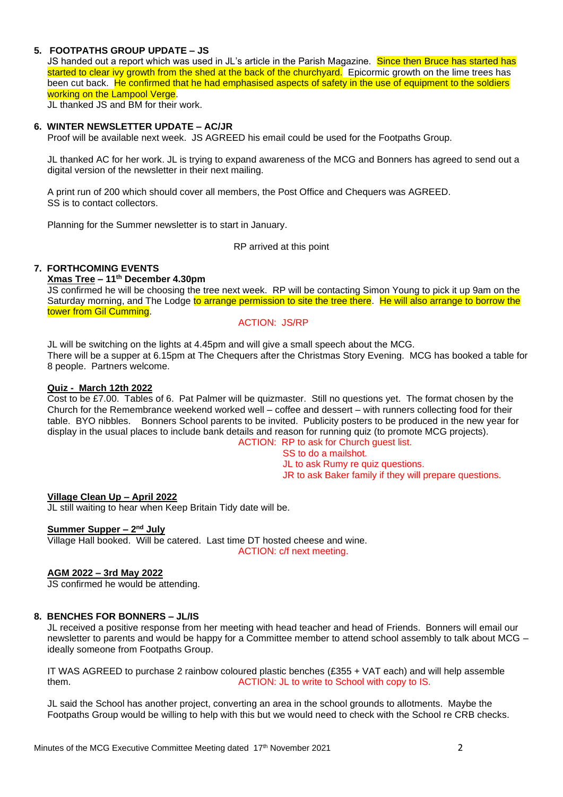# **5. FOOTPATHS GROUP UPDATE – JS**

JS handed out a report which was used in JL's article in the Parish Magazine. Since then Bruce has started has started to clear ivy growth from the shed at the back of the churchyard. Epicormic growth on the lime trees has been cut back. He confirmed that he had emphasised aspects of safety in the use of equipment to the soldiers working on the Lampool Verge.

JL thanked JS and BM for their work.

# **6. WINTER NEWSLETTER UPDATE – AC/JR**

Proof will be available next week. JS AGREED his email could be used for the Footpaths Group.

JL thanked AC for her work. JL is trying to expand awareness of the MCG and Bonners has agreed to send out a digital version of the newsletter in their next mailing.

A print run of 200 which should cover all members, the Post Office and Chequers was AGREED. SS is to contact collectors.

Planning for the Summer newsletter is to start in January.

RP arrived at this point

# **7. FORTHCOMING EVENTS**

**Xmas Tree – 11th December 4.30pm**

JS confirmed he will be choosing the tree next week. RP will be contacting Simon Young to pick it up 9am on the Saturday morning, and The Lodge to arrange permission to site the tree there. He will also arrange to borrow the tower from Gil Cumming.

#### ACTION: JS/RP

JL will be switching on the lights at 4.45pm and will give a small speech about the MCG. There will be a supper at 6.15pm at The Chequers after the Christmas Story Evening. MCG has booked a table for 8 people. Partners welcome.

#### **Quiz - March 12th 2022**

Cost to be £7.00. Tables of 6. Pat Palmer will be quizmaster. Still no questions yet. The format chosen by the Church for the Remembrance weekend worked well – coffee and dessert – with runners collecting food for their table. BYO nibbles. Bonners School parents to be invited. Publicity posters to be produced in the new year for display in the usual places to include bank details and reason for running quiz (to promote MCG projects). ACTION: RP to ask for Church guest list.

 SS to do a mailshot. JL to ask Rumy re quiz questions. JR to ask Baker family if they will prepare questions.

#### **Village Clean Up – April 2022**

JL still waiting to hear when Keep Britain Tidy date will be.

#### **Summer Supper – 2 nd July**

Village Hall booked. Will be catered. Last time DT hosted cheese and wine.

ACTION: c/f next meeting.

#### **AGM 2022 – 3rd May 2022**

JS confirmed he would be attending.

#### **8. BENCHES FOR BONNERS – JL/IS**

JL received a positive response from her meeting with head teacher and head of Friends. Bonners will email our newsletter to parents and would be happy for a Committee member to attend school assembly to talk about MCG – ideally someone from Footpaths Group.

IT WAS AGREED to purchase 2 rainbow coloured plastic benches (£355 + VAT each) and will help assemble them. ACTION: JL to write to School with copy to IS.

JL said the School has another project, converting an area in the school grounds to allotments. Maybe the Footpaths Group would be willing to help with this but we would need to check with the School re CRB checks.